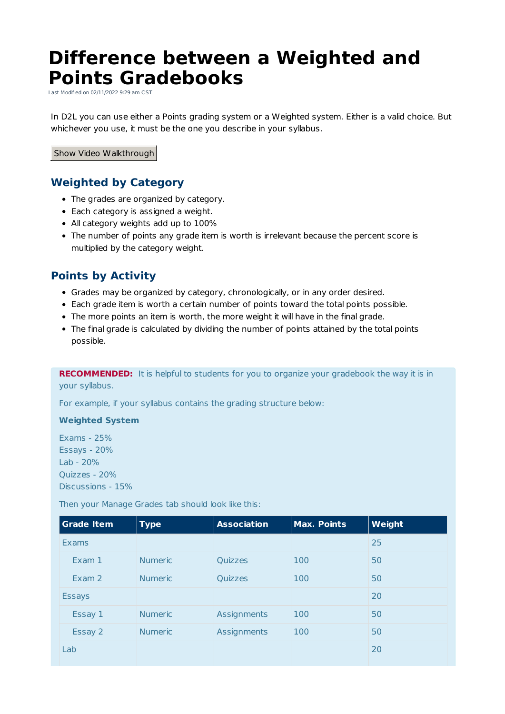# **Difference between a Weighted and Points Gradebooks**

Last Modified on 02/11/2022 9:29 am CST

In D2L you can use either a Points grading system or a Weighted system. Either is a valid choice. But whichever you use, it must be the one you describe in your syllabus.

Show Video Walkthrough

## **Weighted by Category**

- The grades are organized by category.
- Each category is assigned a weight.
- All category weights add up to 100%
- The number of points any grade item is worth is irrelevant because the percent score is multiplied by the category weight.

#### **Points by Activity**

- Grades may be organized by category, chronologically, or in any order desired.
- Each grade item is worth a certain number of points toward the total points possible.
- The more points an item is worth, the more weight it will have in the final grade.
- The final grade is calculated by dividing the number of points attained by the total points possible.

**RECOMMENDED:** It is helpful to students for you to organize your gradebook the way it is in your syllabus.

For example, if your syllabus contains the grading structure below:

#### **Weighted System**

Exams - 25% Essays - 20% Lab - 20% Quizzes - 20% Discussions - 15%

Then your Manage Grades tab should look like this:

| <b>Grade Item</b> | <b>Type</b>    | <b>Association</b> | <b>Max. Points</b> | Weight |
|-------------------|----------------|--------------------|--------------------|--------|
| Exams             |                |                    |                    | 25     |
| Exam 1            | <b>Numeric</b> | Quizzes            | 100                | 50     |
| Exam 2            | <b>Numeric</b> | Quizzes            | 100                | 50     |
| <b>Essays</b>     |                |                    |                    | 20     |
| Essay 1           | <b>Numeric</b> | Assignments        | 100                | 50     |
| Essay 2           | <b>Numeric</b> | Assignments        | 100                | 50     |
| Lab               |                |                    |                    | 20     |